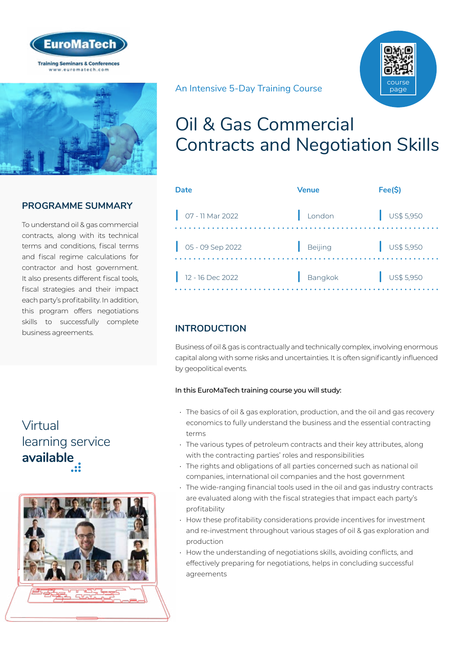



## **PROGRAMME SUMMARY**

To understand oil & gas commercial contracts, along with its technical terms and conditions, fiscal terms and fiscal regime calculations for contractor and host government. It also presents different fiscal tools, fiscal strategies and their impact each party's profitability. In addition, this program offers negotiations skills to successfully complete business agreements.

## Virtual [learning service](https://www.euromatech.com/seminars/oil-gas-commercial-contracts-and-negotiation-skills-1/)  **available**



An Intensive 5-Day Training Course



| Date                                                       | <b>Venue</b> | Fee(S)                   |
|------------------------------------------------------------|--------------|--------------------------|
| $\bigcup$ 07 - 11 Mar 2022                                 | London       | $\frac{1}{2}$ US\$ 5,950 |
| $\begin{array}{ c } 05 - 09 \text{ Sep } 2022 \end{array}$ | Beijing      | $\frac{1}{1}$ US\$ 5,950 |
| $12 - 16$ Dec 2022                                         | Bangkok      | $\frac{1}{2}$ US\$ 5,950 |
|                                                            |              |                          |

## **INTRODUCTION**

Business of oil & gas is contractually and technically complex, involving enormous capital along with some risks and uncertainties. It is often significantly influenced by geopolitical events.

## In this EuroMaTech training course you will study:

- The basics of oil & gas exploration, production, and the oil and gas recovery economics to fully understand the business and the essential contracting terms
- The various types of petroleum contracts and their key attributes, along with the contracting parties' roles and responsibilities
- The rights and obligations of all parties concerned such as national oil companies, international oil companies and the host government
- The wide-ranging financial tools used in the oil and gas industry contracts are evaluated along with the fiscal strategies that impact each party's profitability
- How these profitability considerations provide incentives for investment and re-investment throughout various stages of oil & gas exploration and production
- How the understanding of negotiations skills, avoiding conflicts, and effectively preparing for negotiations, helps in concluding successful agreements

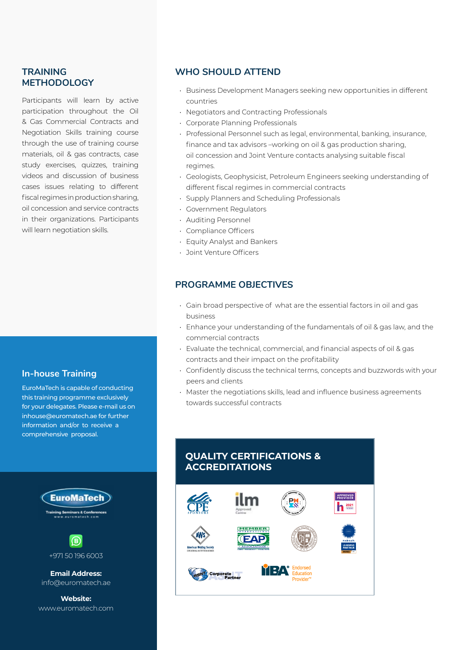## **TRAINING METHODOLOGY**

Participants will learn by active participation throughout the Oil & Gas Commercial Contracts and Negotiation Skills training course through the use of training course materials, oil & gas contracts, case study exercises, quizzes, training videos and discussion of business cases issues relating to different fiscal regimes in production sharing, oil concession and service contracts in their organizations. Participants will learn negotiation skills.

## **In-house Training**

EuroMaTech is capable of conducting this training programme exclusively for your delegates. Please e-mail us on inhouse@euromatech.ae for further information and/or to receive a comprehensive proposal.



+971 50 196 6003

**Email Address:** info@euromatech.ae

**Website:** www.euromatech.com

## **WHO SHOULD ATTEND**

- Business Development Managers seeking new opportunities in different countries
- Negotiators and Contracting Professionals
- Corporate Planning Professionals
- Professional Personnel such as legal, environmental, banking, insurance, finance and tax advisors –working on oil & gas production sharing, oil concession and Joint Venture contacts analysing suitable fiscal regimes.
- Geologists, Geophysicist, Petroleum Engineers seeking understanding of different fiscal regimes in commercial contracts
- Supply Planners and Scheduling Professionals
- Government Regulators
- Auditing Personnel
- Compliance Officers
- Equity Analyst and Bankers
- Joint Venture Officers

## **PROGRAMME OBJECTIVES**

- Gain broad perspective of what are the essential factors in oil and gas business
- Enhance your understanding of the fundamentals of oil & gas law, and the commercial contracts
- Evaluate the technical, commercial, and financial aspects of oil & gas contracts and their impact on the profitability
- Confidently discuss the technical terms, concepts and buzzwords with your peers and clients
- Master the negotiations skills, lead and influence business agreements towards successful contracts

## **QUALITY CERTIFICATIONS & ACCREDITATIONS**

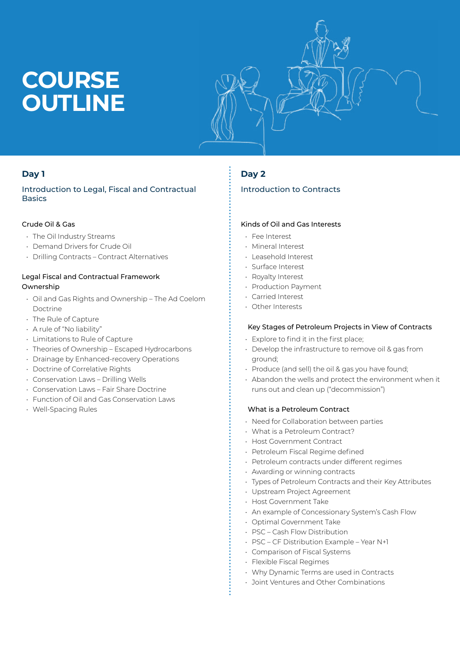# **COURSE OUTLINE**



## **Day 1**

## Introduction to Legal, Fiscal and Contractual **Basics**

## Crude Oil & Gas

- The Oil Industry Streams
- Demand Drivers for Crude Oil
- Drilling Contracts Contract Alternatives

## Legal Fiscal and Contractual Framework Ownership

- Oil and Gas Rights and Ownership The Ad Coelom Doctrine
- The Rule of Capture
- A rule of "No liability"
- Limitations to Rule of Capture
- Theories of Ownership Escaped Hydrocarbons
- Drainage by Enhanced-recovery Operations
- Doctrine of Correlative Rights
- Conservation Laws Drilling Wells
- Conservation Laws Fair Share Doctrine
- Function of Oil and Gas Conservation Laws
- Well-Spacing Rules

## **Day 2**

## Introduction to Contracts

#### Kinds of Oil and Gas Interests

- Fee Interest
- Mineral Interest
- Leasehold Interest
- Surface Interest
- Royalty Interest
- Production Payment
- Carried Interest
- Other Interests

## Key Stages of Petroleum Projects in View of Contracts

- Explore to find it in the first place;
- Develop the infrastructure to remove oil & gas from ground;
- Produce (and sell) the oil & gas you have found;
- Abandon the wells and protect the environment when it runs out and clean up ("decommission")

## What is a Petroleum Contract

- Need for Collaboration between parties
- What is a Petroleum Contract?
- Host Government Contract
- Petroleum Fiscal Regime defined
- Petroleum contracts under different regimes
- Awarding or winning contracts
- Types of Petroleum Contracts and their Key Attributes
- Upstream Project Agreement
- Host Government Take
- An example of Concessionary System's Cash Flow
- Optimal Government Take
- PSC Cash Flow Distribution
- PSC CF Distribution Example Year N+1
- Comparison of Fiscal Systems
- Flexible Fiscal Regimes
- Why Dynamic Terms are used in Contracts
- Joint Ventures and Other Combinations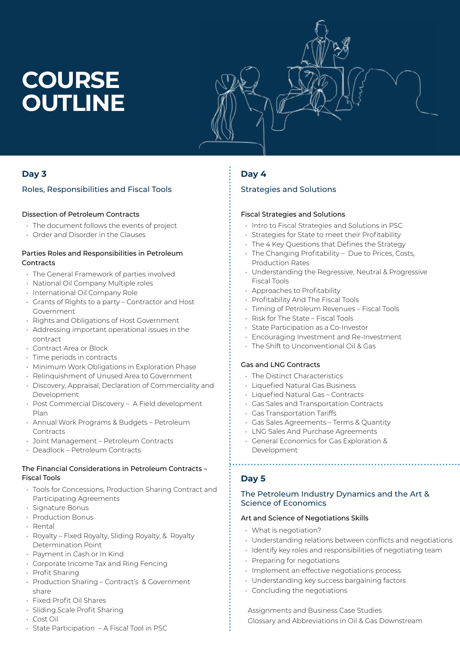# **COURSE OUTLINE**



## **Day 3**

## Roles, Responsibilities and Fiscal Tools

## Dissection of Petroleum Contracts

- The document follows the events of project
- Order and Disorder in the Clauses

#### Parties Roles and Responsibilities in Petroleum **Contracts**

- The General Framework of parties involved
- National Oil Company Multiple roles
- International Oil Company Role
- Grants of Rights to a party Contractor and Host Government
- Rights and Obligations of Host Government
- Addressing important operational issues in the contract
- Contract Area or Block
- Time periods in contracts
- Minimum Work Obligations in Exploration Phase
- Relinquishment of Unused Area to Government
- Discovery, Appraisal, Declaration of Commerciality and Development
- Post Commercial Discovery A Field development Plan
- Annual Work Programs & Budgets Petroleum Contracts
- Joint Management Petroleum Contracts
- Deadlock Petroleum Contracts

## The Financial Considerations in Petroleum Contracts – Fiscal Tools

- Tools for Concessions, Production Sharing Contract and Participating Agreements
- Signature Bonus
- Production Bonus
- Rental
- Royalty Fixed Royalty, Sliding Royalty, & Royalty Determination Point
- Payment in Cash or In Kind
- Corporate Income Tax and Ring Fencing
- Profit Sharing
- Production Sharing Contract's & Government share
- Fixed Profit Oil Shares
- Sliding Scale Profit Sharing
- Cost Oil
- State Participation A Fiscal Tool in PSC

## **Day 4**

## Strategies and Solutions

#### Fiscal Strategies and Solutions

- Intro to Fiscal Strategies and Solutions in PSC
- Strategies for State to meet their Profitability
- The 4 Key Questions that Defines the Strategy
- The Changing Profitability Due to Prices, Costs, Production Rates
- Understanding the Regressive, Neutral & Progressive Fiscal Tools
- Approaches to Profitability
- Profitability And The Fiscal Tools
- Timing of Petroleum Revenues Fiscal Tools
- Risk for The State Fiscal Tools
- State Participation as a Co-Investor
- Encouraging Investment and Re-Investment
- The Shift to Unconventional Oil & Gas

## Gas and LNG Contracts

- The Distinct Characteristics
- Liquefied Natural Gas Business
- Liquefied Natural Gas Contracts
- Gas Sales and Transportation Contracts
- Gas Transportation Tariffs
- Gas Sales Agreements Terms & Quantity
- LNG Sales And Purchase Agreements
- General Economics for Gas Exploration & Development

## **Day 5**

## The Petroleum Industry Dynamics and the Art & Science of Economics

#### Art and Science of Negotiations Skills

- What is negotiation?
- Understanding relations between conflicts and negotiations
- Identify key roles and responsibilities of negotiating team
- Preparing for negotiations
- Implement an effective negotiations process
- Understanding key success bargaining factors
- Concluding the negotiations

 Assignments and Business Case Studies Glossary and Abbreviations in Oil & Gas Downstream